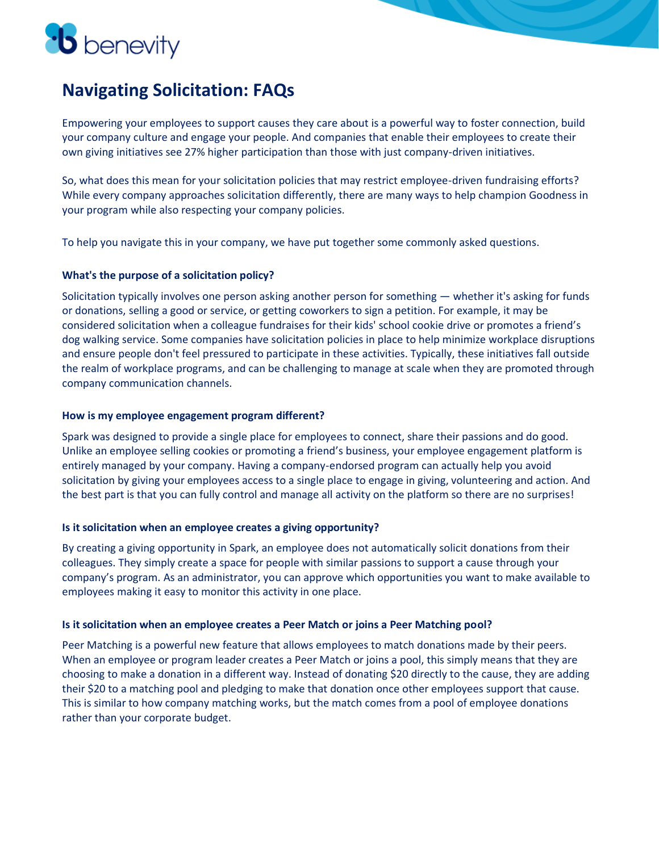

# **Navigating Solicitation: FAQs**

Empowering your employees to support causes they care about is a powerful way to foster connection, build your company culture and engage your people. And companies that enable their employees to create their own giving initiatives see 27% higher participation than those with just company-driven initiatives.

So, what does this mean for your solicitation policies that may restrict employee-driven fundraising efforts? While every company approaches solicitation differently, there are many ways to help champion Goodness in your program while also respecting your company policies.

To help you navigate this in your company, we have put together some commonly asked questions.

### **What's the purpose of a solicitation policy?**

Solicitation typically involves one person asking another person for something — whether it's asking for funds or donations, selling a good or service, or getting coworkers to sign a petition. For example, it may be considered solicitation when a colleague fundraises for their kids' school cookie drive or promotes a friend's dog walking service. Some companies have solicitation policies in place to help minimize workplace disruptions and ensure people don't feel pressured to participate in these activities. Typically, these initiatives fall outside the realm of workplace programs, and can be challenging to manage at scale when they are promoted through company communication channels.

### **How is my employee engagement program different?**

Spark was designed to provide a single place for employees to connect, share their passions and do good. Unlike an employee selling cookies or promoting a friend's business, your employee engagement platform is entirely managed by your company. Having a company-endorsed program can actually help you avoid solicitation by giving your employees access to a single place to engage in giving, volunteering and action. And the best part is that you can fully control and manage all activity on the platform so there are no surprises!

### **Is it solicitation when an employee creates a giving opportunity?**

By creating a giving opportunity in Spark, an employee does not automatically solicit donations from their colleagues. They simply create a space for people with similar passions to support a cause through your company's program. As an administrator, you can approve which opportunities you want to make available to employees making it easy to monitor this activity in one place.

### **Is it solicitation when an employee creates a Peer Match or joins a Peer Matching pool?**

Peer Matching is a powerful new feature that allows employees to match donations made by their peers. When an employee or program leader creates a Peer Match or joins a pool, this simply means that they are choosing to make a donation in a different way. Instead of donating \$20 directly to the cause, they are adding their \$20 to a matching pool and pledging to make that donation once other employees support that cause. This is similar to how company matching works, but the match comes from a pool of employee donations rather than your corporate budget.